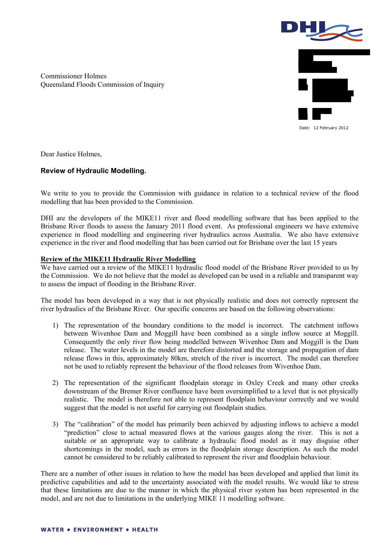

Commissioner Holmes Queensland Floods Commission of Inquiry

Dear Justice Holmes,

## **Review of Hydraulic Modelling.**

We write to you to provide the Commission with guidance in relation to a technical review of the flood modelling that has been provided to the Commission.

DHI are the developers of the MIKE11 river and flood modelling software that has been applied to the Brisbane River floods to assess the January 2011 flood event. As professional engineers we have extensive experience in flood modelling and engineering river hydraulics across Australia. We also have extensive experience in the river and flood modelling that has been carried out for Brisbane over the last 15 years

## **Review of the MIKE11 Hydraulic River Modelling**

We have carried out a review of the MIKE11 hydraulic flood model of the Brisbane River provided to us by the Commission. We do not believe that the model as developed can be used in a reliable and transparent way to assess the impact of flooding in the Brisbane River.

The model has been developed in a way that is not physically realistic and does not correctly represent the river hydraulics of the Brisbane River. Our specific concerns are based on the following observations:

- 1) The representation of the boundary conditions to the model is incorrect. The catchment inflows between Wivenhoe Dam and Moggill have been combined as a single inflow source at Moggill. Consequently the only river flow being modelled between Wivenhoe Dam and Moggill is the Dam release. The water levels in the model are therefore distorted and the storage and propagation of dam release flows in this, approximately 80km, stretch of the river is incorrect. The model can therefore not be used to reliably represent the behaviour of the flood releases from Wivenhoe Dam.
- 2) The representation of the significant floodplain storage in Oxley Creek and many other creeks downstream of the Bremer River confluence have been oversimplified to a level that is not physically realistic. The model is therefore not able to represent floodplain behaviour correctly and we would suggest that the model is not useful for carrying out floodplain studies.
- 3) The "calibration" of the model has primarily been achieved by adjusting inflows to achieve a model "prediction" close to actual measured flows at the various gauges along the river. This is not a suitable or an appropriate way to calibrate a hydraulic flood model as it may disguise other shortcomings in the model, such as errors in the floodplain storage description. As such the model cannot be considered to be reliably calibrated to represent the river and floodplain behaviour.

There are a number of other issues in relation to how the model has been developed and applied that limit its predictive capabilities and add to the uncertainty associated with the model results. We would like to stress that these limitations are due to the manner in which the physical river system has been represented in the model, and are not due to limitations in the underlying MIKE 11 modelling software.